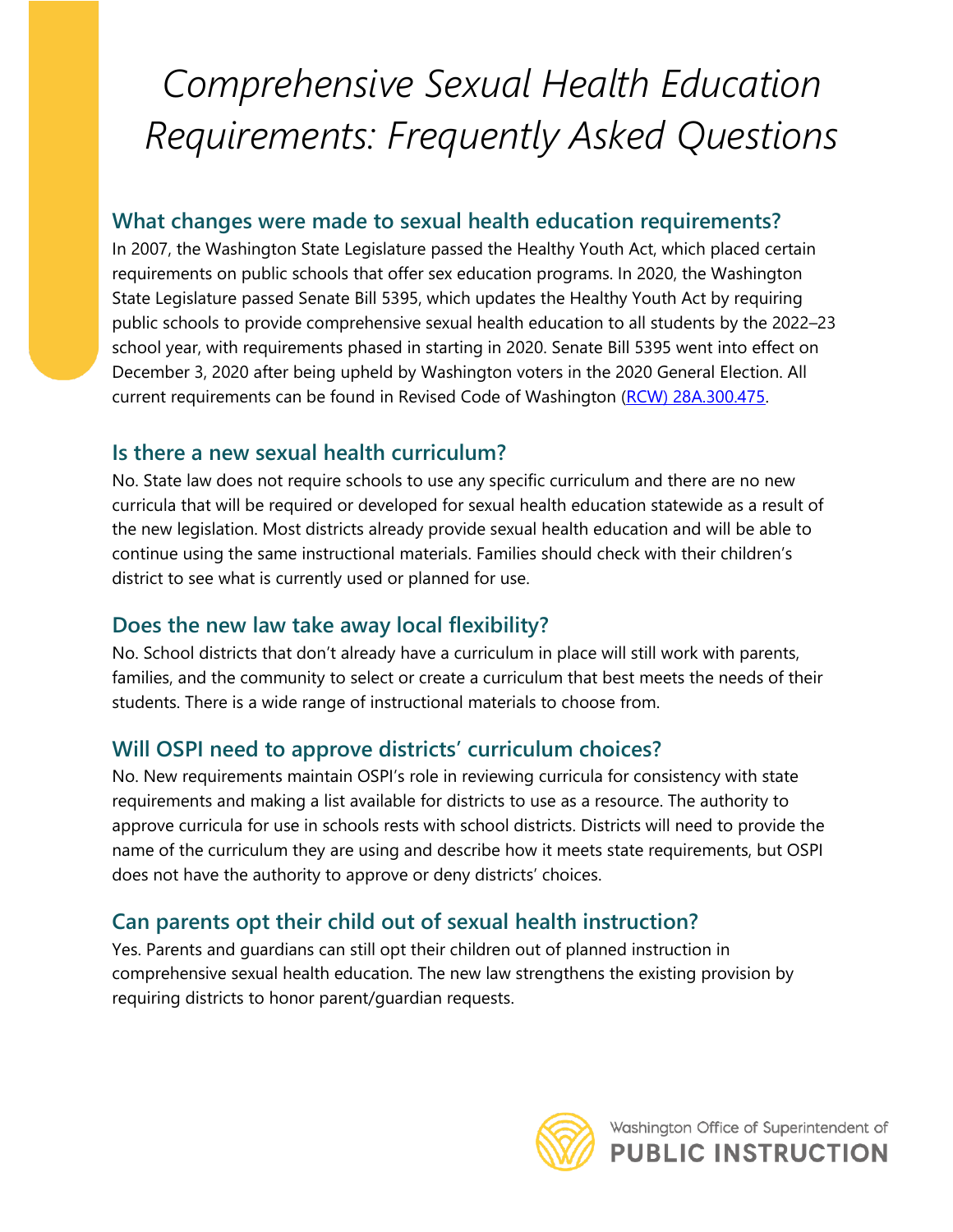# *Comprehensive Sexual Health Education Requirements: Frequently Asked Questions*

#### **What changes were made to sexual health education requirements?**

 school year, with requirements phased in starting in 2020. Senate Bill 5395 went into effect on In 2007, the Washington State Legislature passed the Healthy Youth Act, which placed certain requirements on public schools that offer sex education programs. In 2020, the Washington State Legislature passed Senate Bill 5395, which updates the Healthy Youth Act by requiring public schools to provide comprehensive sexual health education to all students by the 2022–23 December 3, 2020 after being upheld by Washington voters in the 2020 General Election. All current requirements can be found in Revised Code of Washington [\(RCW\) 28A.300.475.](https://apps.leg.wa.gov/rcw/default.aspx?cite=28A.300.475)

### **Is there a new sexual health curriculum?**

 No. State law does not require schools to use any specific curriculum and there are no new curricula that will be required or developed for sexual health education statewide as a result of the new legislation. Most districts already provide sexual health education and will be able to continue using the same instructional materials. Families should check with their children's district to see what is currently used or planned for use.

### **Does the new law take away local flexibility?**

 families, and the community to select or create a curriculum that best meets the needs of their No. School districts that don't already have a curriculum in place will still work with parents, students. There is a wide range of instructional materials to choose from.

## **Will OSPI need to approve districts' curriculum choices?**

 No. New requirements maintain OSPI's role in reviewing curricula for consistency with state requirements and making a list available for districts to use as a resource. The authority to approve curricula for use in schools rests with school districts. Districts will need to provide the name of the curriculum they are using and describe how it meets state requirements, but OSPI does not have the authority to approve or deny districts' choices.

## **Can parents opt their child out of sexual health instruction?**

Yes. Parents and guardians can still opt their children out of planned instruction in comprehensive sexual health education. The new law strengthens the existing provision by requiring districts to honor parent/guardian requests.

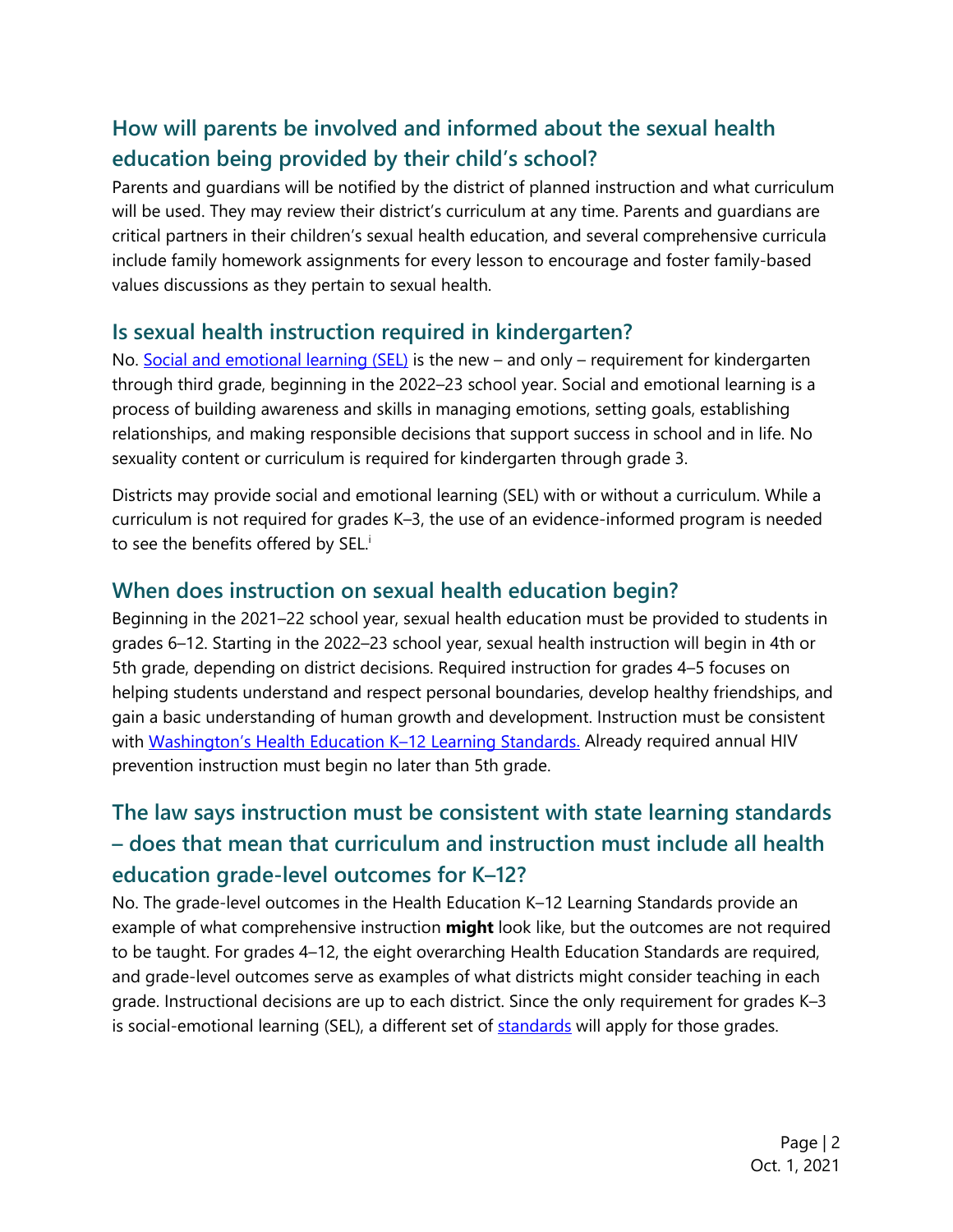## **How will parents be involved and informed about the sexual health education being provided by their child's school?**

 critical partners in their children's sexual health education, and several comprehensive curricula Parents and guardians will be notified by the district of planned instruction and what curriculum will be used. They may review their district's curriculum at any time. Parents and guardians are include family homework assignments for every lesson to encourage and foster family-based values discussions as they pertain to sexual health.

#### **Is sexual health instruction required in kindergarten?**

 process of building awareness and skills in managing emotions, setting goals, establishing No. [Social and emotional learning \(SEL\)](https://www.k12.wa.us/student-success/health-safety/mental-social-behavioral-health/social-and-emotional-learning-sel) is the new – and only – requirement for kindergarten through third grade, beginning in the 2022–23 school year. Social and emotional learning is a relationships, and making responsible decisions that support success in school and in life. No sexuality content or curriculum is required for kindergarten through grade 3.

 Districts may provide social and emotional learning (SEL) with or without a curriculum. While a curriculum is not required for grades K–3, the use of an evidence-informed program is needed to see the benefits offered by SEL.<sup>i</sup>

#### **When does instruction on sexual health education begin?**

Beginning in the 2021–22 school year, sexual health education must be provided to students in grades 6–12. Starting in the 2022–23 school year, sexual health instruction will begin in 4th or 5th grade, depending on district decisions. Required instruction for grades 4–5 focuses on helping students understand and respect personal boundaries, develop healthy friendships, and gain a basic understanding of human growth and development. Instruction must be consistent with Washington's Health Education K-12 Learning Standards. Already required annual HIV prevention instruction must begin no later than 5th grade.

## **The law says instruction must be consistent with state learning standards – does that mean that curriculum and instruction must include all health education grade-level outcomes for K–12?**

 example of what comprehensive instruction **might** look like, but the outcomes are not required No. The grade-level outcomes in the Health Education K–12 Learning Standards provide an to be taught. For grades 4–12, the eight overarching Health Education Standards are required, and grade-level outcomes serve as examples of what districts might consider teaching in each grade. Instructional decisions are up to each district. Since the only requirement for grades K–3 is social-emotional learning (SEL), a different set of [standards](https://www.k12.wa.us/sites/default/files/public/studentsupport/sel/pubdocs/Standards%2C%20Benchmarks%20Indicators%20-%20creative%20commons.pdf) will apply for those grades.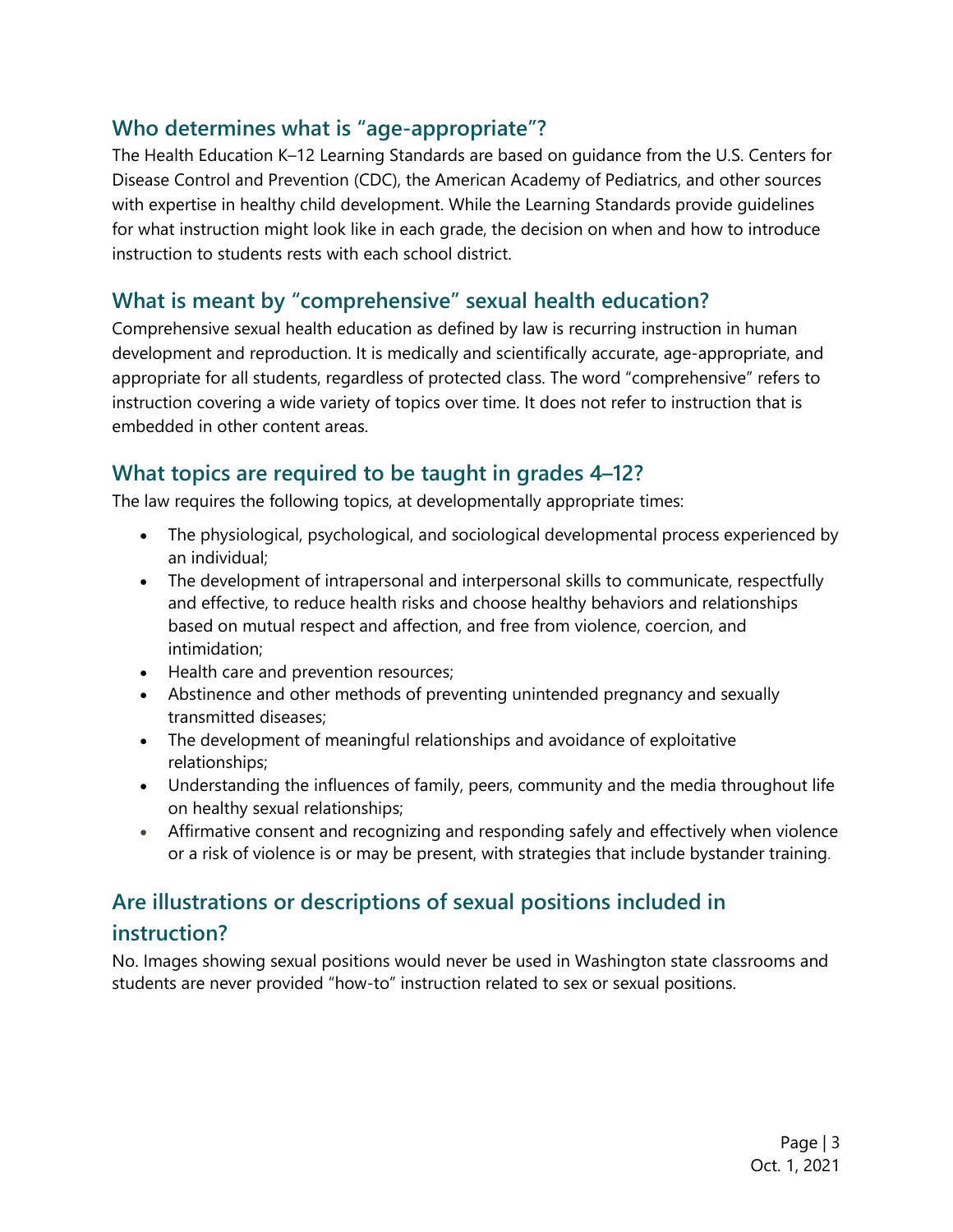### **Who determines what is "age-appropriate"?**

The Health Education K–12 Learning Standards are based on guidance from the U.S. Centers for Disease Control and Prevention (CDC), the American Academy of Pediatrics, and other sources with expertise in healthy child development. While the Learning Standards provide guidelines for what instruction might look like in each grade, the decision on when and how to introduce instruction to students rests with each school district.

## **What is meant by "comprehensive" sexual health education?**

 appropriate for all students, regardless of protected class. The word "comprehensive" refers to Comprehensive sexual health education as defined by law is recurring instruction in human development and reproduction. It is medically and scientifically accurate, age-appropriate, and instruction covering a wide variety of topics over time. It does not refer to instruction that is embedded in other content areas.

#### **What topics are required to be taught in grades 4–12?**

The law requires the following topics, at developmentally appropriate times:

- The physiological, psychological, and sociological developmental process experienced by an individual;
- The development of intrapersonal and interpersonal skills to communicate, respectfully and effective, to reduce health risks and choose healthy behaviors and relationships based on mutual respect and affection, and free from violence, coercion, and intimidation;
- Health care and prevention resources;
- Abstinence and other methods of preventing unintended pregnancy and sexually transmitted diseases;
- The development of meaningful relationships and avoidance of exploitative relationships;
- Understanding the influences of family, peers, community and the media throughout life on healthy sexual relationships;
- Affirmative consent and recognizing and responding safely and effectively when violence or a risk of violence is or may be present, with strategies that include bystander training.

## **Are illustrations or descriptions of sexual positions included in instruction?**

 No. Images showing sexual positions would never be used in Washington state classrooms and students are never provided "how-to" instruction related to sex or sexual positions.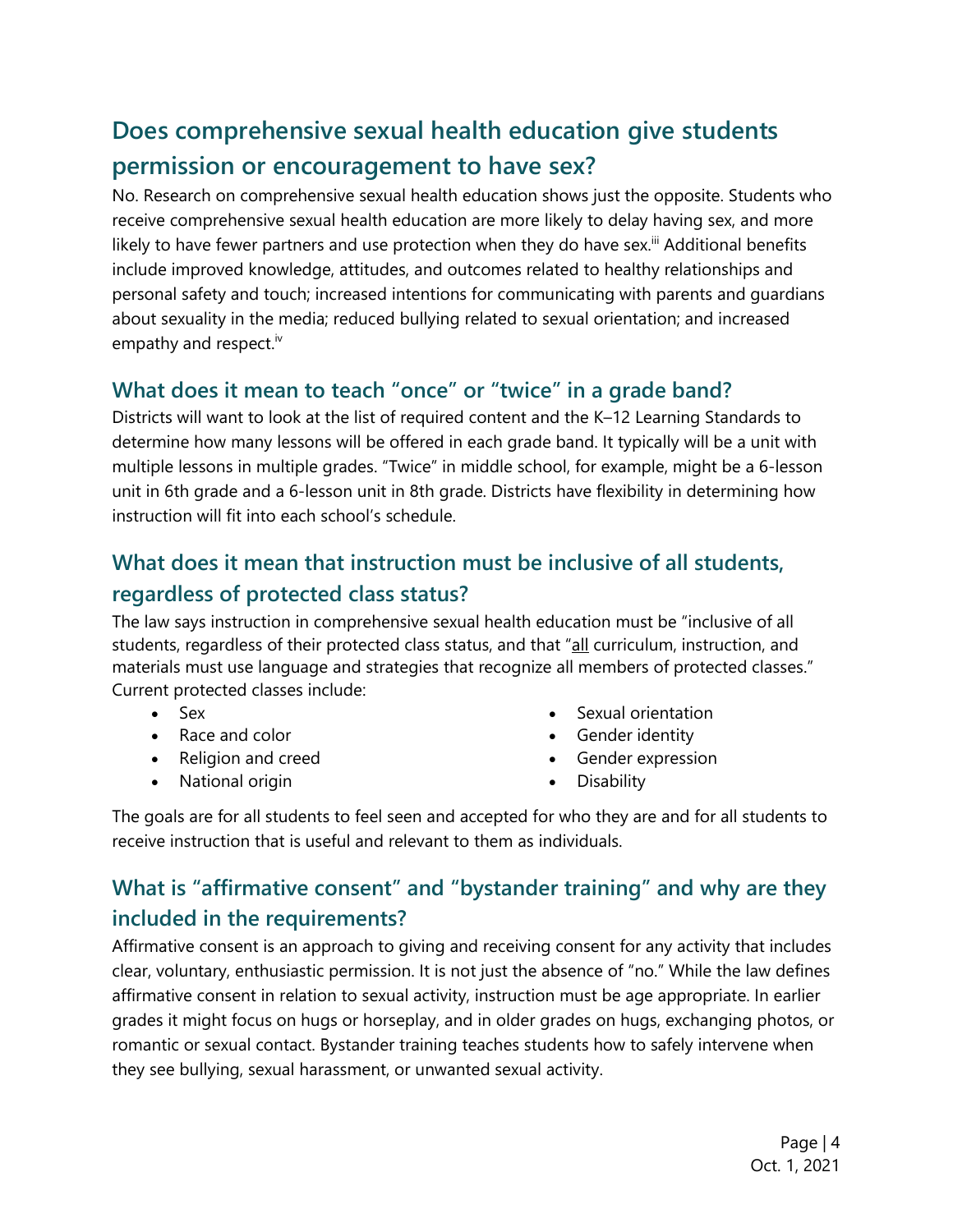## **Does comprehensive sexual health education give students permission or encouragement to have sex?**

No. Research on comprehensive sexual health education shows just the opposite. Students who receive comprehensive sexual health education are more likely to delay having sex, and more likely to have fewer partners and use protection when they do have sex.<sup>iii</sup> Additional benefits include improved knowledge, attitudes, and outcomes related to healthy relationships and personal safety and touch; increased intentions for communicating with parents and guardians about sexuality in the media; reduced bullying related to sexual orientation; and increased empathy and respect.<sup>iv</sup>

## **What does it mean to teach "once" or "twice" in a grade band?**

Districts will want to look at the list of required content and the K–12 Learning Standards to determine how many lessons will be offered in each grade band. It typically will be a unit with multiple lessons in multiple grades. "Twice" in middle school, for example, might be a 6-lesson unit in 6th grade and a 6-lesson unit in 8th grade. Districts have flexibility in determining how instruction will fit into each school's schedule.

## **What does it mean that instruction must be inclusive of all students, regardless of protected class status?**

 The law says instruction in comprehensive sexual health education must be "inclusive of all materials must use language and strategies that recognize all members of protected classes." students, regardless of their protected class status, and that "<u>all</u> curriculum, instruction, and Current protected classes include:

- 
- 
- 
- National origin Disability
- Sex Sexual orientation
- Race and color **•** Gender identity
- Religion and creed Gender expression
	-

 The goals are for all students to feel seen and accepted for who they are and for all students to receive instruction that is useful and relevant to them as individuals.

## **What is "affirmative consent" and "bystander training" and why are they included in the requirements?**

 Affirmative consent is an approach to giving and receiving consent for any activity that includes clear, voluntary, enthusiastic permission. It is not just the absence of "no." While the law defines affirmative consent in relation to sexual activity, instruction must be age appropriate. In earlier grades it might focus on hugs or horseplay, and in older grades on hugs, exchanging photos, or romantic or sexual contact. Bystander training teaches students how to safely intervene when they see bullying, sexual harassment, or unwanted sexual activity.